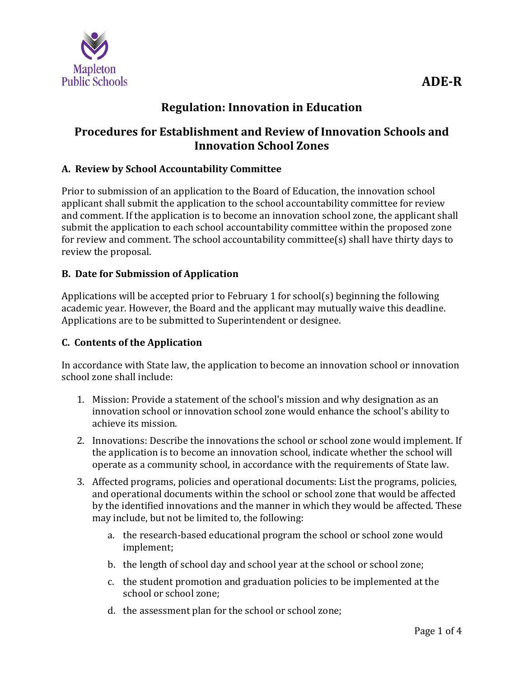

# **Regulation: Innovation in Education**

## **Procedures for Establishment and Review of Innovation Schools and Innovation School Zones**

#### **A. Review by School Accountability Committee**

Prior to submission of an application to the Board of Education, the innovation school applicant shall submit the application to the school accountability committee for review and comment. If the application is to become an innovation school zone, the applicant shall submit the application to each school accountability committee within the proposed zone for review and comment. The school accountability committee(s) shall have thirty days to review the proposal.

#### **B. Date for Submission of Application**

Applications will be accepted prior to February 1 for school(s) beginning the following academic year. However, the Board and the applicant may mutually waive this deadline. Applications are to be submitted to Superintendent or designee.

#### **C. Contents of the Application**

In accordance with State law, the application to become an innovation school or innovation school zone shall include:

- 1. Mission: Provide a statement of the school's mission and why designation as an innovation school or innovation school zone would enhance the school's ability to achieve its mission.
- 2. Innovations: Describe the innovations the school or school zone would implement. If the application is to become an innovation school, indicate whether the school will operate as a community school, in accordance with the requirements of State law.
- 3. Affected programs, policies and operational documents: List the programs, policies, and operational documents within the school or school zone that would be affected by the identified innovations and the manner in which they would be affected. These may include, but not be limited to, the following:
	- a. the research-based educational program the school or school zone would implement;
	- b. the length of school day and school year at the school or school zone;
	- c. the student promotion and graduation policies to be implemented at the school or school zone;
	- d. the assessment plan for the school or school zone;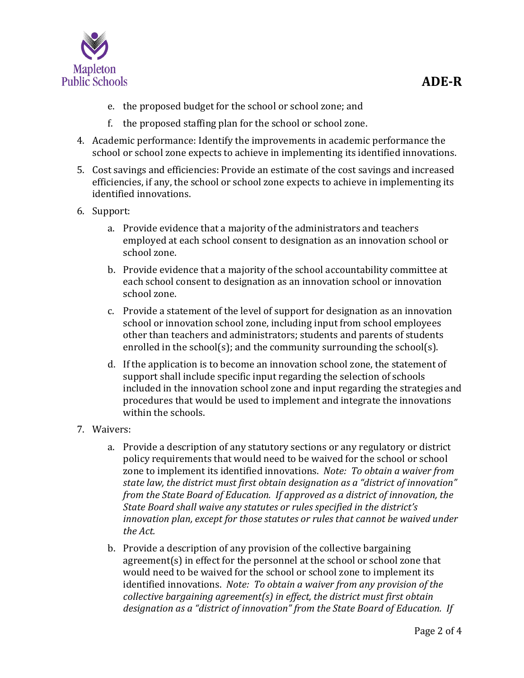

- e. the proposed budget for the school or school zone; and
- f. the proposed staffing plan for the school or school zone.
- 4. Academic performance: Identify the improvements in academic performance the school or school zone expects to achieve in implementing its identified innovations.
- 5. Cost savings and efficiencies: Provide an estimate of the cost savings and increased efficiencies, if any, the school or school zone expects to achieve in implementing its identified innovations.
- 6. Support:
	- a. Provide evidence that a majority of the administrators and teachers employed at each school consent to designation as an innovation school or school zone.
	- b. Provide evidence that a majority of the school accountability committee at each school consent to designation as an innovation school or innovation school zone.
	- c. Provide a statement of the level of support for designation as an innovation school or innovation school zone, including input from school employees other than teachers and administrators; students and parents of students enrolled in the school(s); and the community surrounding the school(s).
	- d. If the application is to become an innovation school zone, the statement of support shall include specific input regarding the selection of schools included in the innovation school zone and input regarding the strategies and procedures that would be used to implement and integrate the innovations within the schools.
- 7. Waivers:
	- a. Provide a description of any statutory sections or any regulatory or district policy requirements that would need to be waived for the school or school zone to implement its identified innovations. *Note: To obtain a waiver from state law, the district must first obtain designation as a "district of innovation" from the State Board of Education. If approved as a district of innovation, the State Board shall waive any statutes or rules specified in the district's innovation plan, except for those statutes or rules that cannot be waived under the Act.*
	- b. Provide a description of any provision of the collective bargaining agreement(s) in effect for the personnel at the school or school zone that would need to be waived for the school or school zone to implement its identified innovations. *Note: To obtain a waiver from any provision of the collective bargaining agreement(s) in effect, the district must first obtain designation as a "district of innovation" from the State Board of Education. If*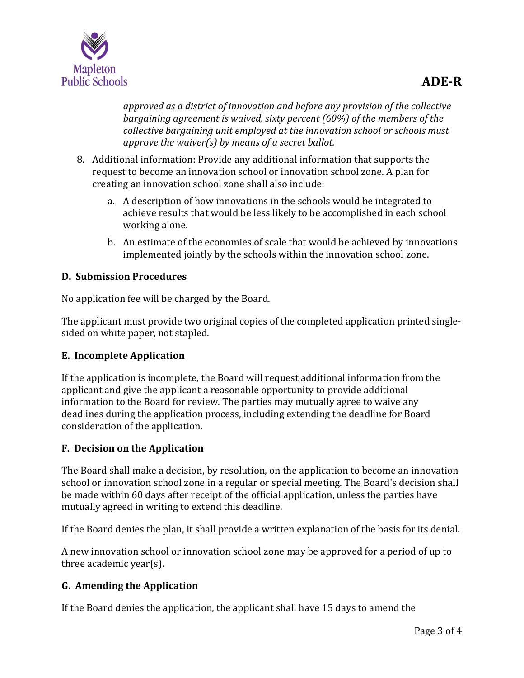

*approved as a district of innovation and before any provision of the collective bargaining agreement is waived, sixty percent (60%) of the members of the collective bargaining unit employed at the innovation school or schools must approve the waiver(s) by means of a secret ballot.*

- 8. Additional information: Provide any additional information that supports the request to become an innovation school or innovation school zone. A plan for creating an innovation school zone shall also include:
	- a. A description of how innovations in the schools would be integrated to achieve results that would be less likely to be accomplished in each school working alone.
	- b. An estimate of the economies of scale that would be achieved by innovations implemented jointly by the schools within the innovation school zone.

## **D. Submission Procedures**

No application fee will be charged by the Board.

The applicant must provide two original copies of the completed application printed singlesided on white paper, not stapled.

### **E. Incomplete Application**

If the application is incomplete, the Board will request additional information from the applicant and give the applicant a reasonable opportunity to provide additional information to the Board for review. The parties may mutually agree to waive any deadlines during the application process, including extending the deadline for Board consideration of the application.

### **F. Decision on the Application**

The Board shall make a decision, by resolution, on the application to become an innovation school or innovation school zone in a regular or special meeting. The Board's decision shall be made within 60 days after receipt of the official application, unless the parties have mutually agreed in writing to extend this deadline.

If the Board denies the plan, it shall provide a written explanation of the basis for its denial.

A new innovation school or innovation school zone may be approved for a period of up to three academic year(s).

## **G. Amending the Application**

If the Board denies the application, the applicant shall have 15 days to amend the